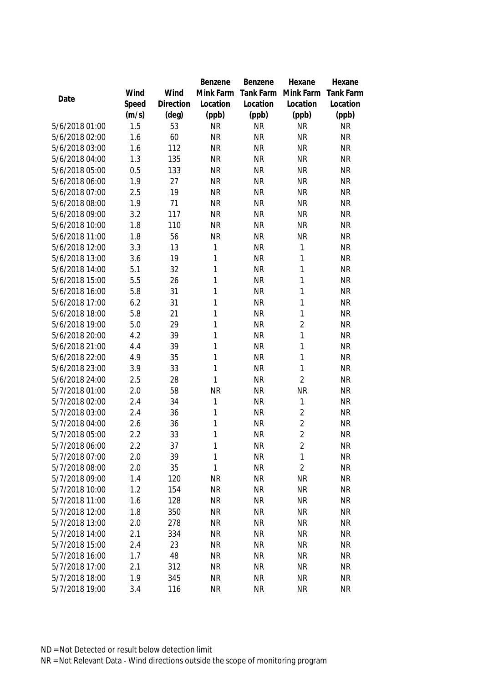|                |       |           | Benzene      | Benzene   | Hexane         | Hexane           |
|----------------|-------|-----------|--------------|-----------|----------------|------------------|
|                | Wind  | Wind      | Mink Farm    | Tank Farm | Mink Farm      | <b>Tank Farm</b> |
| Date           | Speed | Direction | Location     | Location  | Location       | Location         |
|                | (m/s) | (deg)     | (ppb)        | (ppb)     | (ppb)          | (ppb)            |
| 5/6/2018 01:00 | 1.5   | 53        | <b>NR</b>    | <b>NR</b> | <b>NR</b>      | <b>NR</b>        |
| 5/6/2018 02:00 | 1.6   | 60        | <b>NR</b>    | <b>NR</b> | <b>NR</b>      | <b>NR</b>        |
| 5/6/2018 03:00 | 1.6   | 112       | <b>NR</b>    | <b>NR</b> | <b>NR</b>      | <b>NR</b>        |
| 5/6/2018 04:00 | 1.3   | 135       | <b>NR</b>    | <b>NR</b> | <b>NR</b>      | <b>NR</b>        |
| 5/6/2018 05:00 | 0.5   | 133       | <b>NR</b>    | <b>NR</b> | <b>NR</b>      | <b>NR</b>        |
| 5/6/2018 06:00 | 1.9   | 27        | <b>NR</b>    | <b>NR</b> | <b>NR</b>      | <b>NR</b>        |
| 5/6/2018 07:00 | 2.5   | 19        | <b>NR</b>    | <b>NR</b> | <b>NR</b>      | <b>NR</b>        |
| 5/6/2018 08:00 | 1.9   | 71        | <b>NR</b>    | <b>NR</b> | <b>NR</b>      | <b>NR</b>        |
| 5/6/2018 09:00 | 3.2   | 117       | <b>NR</b>    | <b>NR</b> | <b>NR</b>      | <b>NR</b>        |
| 5/6/2018 10:00 | 1.8   | 110       | <b>NR</b>    | <b>NR</b> | <b>NR</b>      | <b>NR</b>        |
| 5/6/2018 11:00 | 1.8   | 56        | <b>NR</b>    | <b>NR</b> | <b>NR</b>      | <b>NR</b>        |
| 5/6/2018 12:00 | 3.3   | 13        | 1            | <b>NR</b> | 1              | <b>NR</b>        |
| 5/6/2018 13:00 | 3.6   | 19        | 1            | <b>NR</b> | $\mathbf{1}$   | <b>NR</b>        |
| 5/6/2018 14:00 | 5.1   | 32        | $\mathbf{1}$ | <b>NR</b> | $\mathbf{1}$   | <b>NR</b>        |
| 5/6/2018 15:00 | 5.5   | 26        | $\mathbf{1}$ | <b>NR</b> | $\mathbf{1}$   | <b>NR</b>        |
| 5/6/2018 16:00 | 5.8   | 31        | $\mathbf{1}$ | <b>NR</b> | 1              | <b>NR</b>        |
| 5/6/2018 17:00 | 6.2   | 31        | $\mathbf{1}$ | <b>NR</b> | $\mathbf{1}$   | <b>NR</b>        |
| 5/6/2018 18:00 | 5.8   | 21        | $\mathbf{1}$ | <b>NR</b> | $\mathbf{1}$   | <b>NR</b>        |
| 5/6/2018 19:00 | 5.0   | 29        | $\mathbf{1}$ | <b>NR</b> | $\overline{2}$ | <b>NR</b>        |
| 5/6/2018 20:00 | 4.2   | 39        | 1            | <b>NR</b> | $\mathbf{1}$   | <b>NR</b>        |
| 5/6/2018 21:00 | 4.4   | 39        | 1            | <b>NR</b> | 1              | <b>NR</b>        |
| 5/6/2018 22:00 | 4.9   | 35        | $\mathbf{1}$ | <b>NR</b> | $\mathbf{1}$   | <b>NR</b>        |
| 5/6/2018 23:00 | 3.9   | 33        | $\mathbf{1}$ | <b>NR</b> | $\mathbf{1}$   | <b>NR</b>        |
| 5/6/2018 24:00 | 2.5   | 28        | 1            | <b>NR</b> | $\overline{2}$ | <b>NR</b>        |
| 5/7/2018 01:00 | 2.0   | 58        | <b>NR</b>    | <b>NR</b> | <b>NR</b>      | <b>NR</b>        |
| 5/7/2018 02:00 | 2.4   | 34        | 1            | <b>NR</b> | $\mathbf{1}$   | <b>NR</b>        |
| 5/7/2018 03:00 | 2.4   | 36        | $\mathbf{1}$ | <b>NR</b> | $\overline{2}$ | <b>NR</b>        |
| 5/7/2018 04:00 | 2.6   | 36        | $\mathbf{1}$ | <b>NR</b> | $\overline{2}$ | <b>NR</b>        |
| 5/7/2018 05:00 | 2.2   | 33        | 1            | <b>NR</b> | $\overline{2}$ | <b>NR</b>        |
| 5/7/2018 06:00 | 2.2   | 37        | 1            | <b>NR</b> | $\overline{2}$ | <b>NR</b>        |
| 5/7/2018 07:00 | 2.0   | 39        | 1            | <b>NR</b> | $\mathbf 1$    | <b>NR</b>        |
| 5/7/2018 08:00 | 2.0   | 35        | $\mathbf{1}$ | <b>NR</b> | $\overline{2}$ | <b>NR</b>        |
| 5/7/2018 09:00 | 1.4   | 120       | <b>NR</b>    | <b>NR</b> | <b>NR</b>      | <b>NR</b>        |
| 5/7/2018 10:00 | 1.2   | 154       | <b>NR</b>    | <b>NR</b> | <b>NR</b>      | <b>NR</b>        |
| 5/7/2018 11:00 | 1.6   | 128       | <b>NR</b>    | <b>NR</b> | <b>NR</b>      | <b>NR</b>        |
| 5/7/2018 12:00 | 1.8   | 350       | <b>NR</b>    | <b>NR</b> | <b>NR</b>      | <b>NR</b>        |
| 5/7/2018 13:00 | 2.0   | 278       | <b>NR</b>    | <b>NR</b> | <b>NR</b>      | <b>NR</b>        |
| 5/7/2018 14:00 | 2.1   | 334       | <b>NR</b>    | <b>NR</b> | <b>NR</b>      | <b>NR</b>        |
| 5/7/2018 15:00 | 2.4   | 23        | <b>NR</b>    | <b>NR</b> | <b>NR</b>      | <b>NR</b>        |
| 5/7/2018 16:00 | 1.7   | 48        | <b>NR</b>    | <b>NR</b> | <b>NR</b>      | <b>NR</b>        |
| 5/7/2018 17:00 | 2.1   | 312       | <b>NR</b>    | <b>NR</b> | <b>NR</b>      | <b>NR</b>        |
| 5/7/2018 18:00 | 1.9   | 345       | <b>NR</b>    | <b>NR</b> | <b>NR</b>      | <b>NR</b>        |
| 5/7/2018 19:00 | 3.4   | 116       | <b>NR</b>    | <b>NR</b> | <b>NR</b>      | <b>NR</b>        |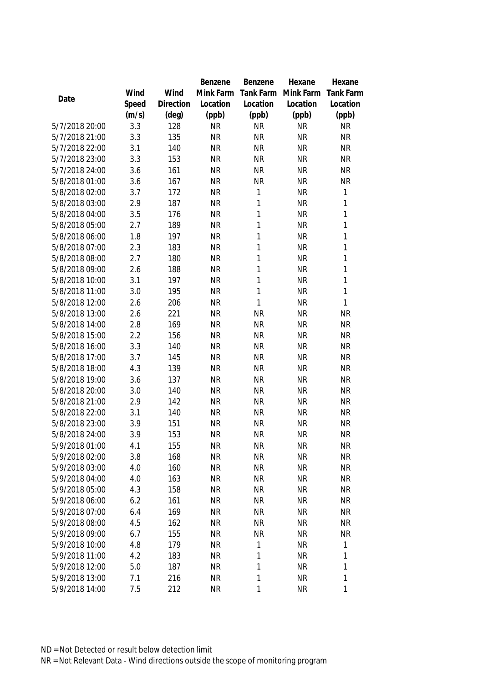|                |       |           | Benzene   | Benzene      | Hexane    | Hexane           |
|----------------|-------|-----------|-----------|--------------|-----------|------------------|
|                | Wind  | Wind      | Mink Farm | Tank Farm    | Mink Farm | <b>Tank Farm</b> |
| Date           | Speed | Direction | Location  | Location     | Location  | Location         |
|                | (m/s) | (deg)     | (ppb)     | (ppb)        | (ppb)     | (ppb)            |
| 5/7/2018 20:00 | 3.3   | 128       | <b>NR</b> | <b>NR</b>    | <b>NR</b> | <b>NR</b>        |
| 5/7/2018 21:00 | 3.3   | 135       | <b>NR</b> | <b>NR</b>    | <b>NR</b> | <b>NR</b>        |
| 5/7/2018 22:00 | 3.1   | 140       | <b>NR</b> | <b>NR</b>    | <b>NR</b> | <b>NR</b>        |
| 5/7/2018 23:00 | 3.3   | 153       | <b>NR</b> | <b>NR</b>    | <b>NR</b> | <b>NR</b>        |
| 5/7/2018 24:00 | 3.6   | 161       | <b>NR</b> | <b>NR</b>    | <b>NR</b> | <b>NR</b>        |
| 5/8/2018 01:00 | 3.6   | 167       | <b>NR</b> | <b>NR</b>    | <b>NR</b> | <b>NR</b>        |
| 5/8/2018 02:00 | 3.7   | 172       | <b>NR</b> | 1            | <b>NR</b> | $\mathbf{1}$     |
| 5/8/2018 03:00 | 2.9   | 187       | <b>NR</b> | $\mathbf 1$  | <b>NR</b> | 1                |
| 5/8/2018 04:00 | 3.5   | 176       | <b>NR</b> | $\mathbf{1}$ | <b>NR</b> | $\mathbf{1}$     |
| 5/8/2018 05:00 | 2.7   | 189       | <b>NR</b> | $\mathbf 1$  | <b>NR</b> | 1                |
| 5/8/2018 06:00 | 1.8   | 197       | <b>NR</b> | $\mathbf{1}$ | <b>NR</b> | 1                |
| 5/8/2018 07:00 | 2.3   | 183       | <b>NR</b> | $\mathbf 1$  | <b>NR</b> | 1                |
| 5/8/2018 08:00 | 2.7   | 180       | <b>NR</b> | $\mathbf{1}$ | <b>NR</b> | $\mathbf{1}$     |
| 5/8/2018 09:00 | 2.6   | 188       | <b>NR</b> | $\mathbf{1}$ | <b>NR</b> | $\mathbf{1}$     |
| 5/8/2018 10:00 | 3.1   | 197       | <b>NR</b> | $\mathbf{1}$ | <b>NR</b> | 1                |
| 5/8/2018 11:00 | 3.0   | 195       | <b>NR</b> | $\mathbf{1}$ | <b>NR</b> | $\mathbf{1}$     |
| 5/8/2018 12:00 | 2.6   | 206       | <b>NR</b> | $\mathbf{1}$ | <b>NR</b> | $\mathbf{1}$     |
| 5/8/2018 13:00 | 2.6   | 221       | <b>NR</b> | <b>NR</b>    | <b>NR</b> | <b>NR</b>        |
| 5/8/2018 14:00 | 2.8   | 169       | <b>NR</b> | <b>NR</b>    | <b>NR</b> | <b>NR</b>        |
| 5/8/2018 15:00 | 2.2   | 156       | <b>NR</b> | <b>NR</b>    | <b>NR</b> | <b>NR</b>        |
| 5/8/2018 16:00 | 3.3   | 140       | <b>NR</b> | <b>NR</b>    | <b>NR</b> | <b>NR</b>        |
| 5/8/2018 17:00 | 3.7   | 145       | <b>NR</b> | <b>NR</b>    | <b>NR</b> | <b>NR</b>        |
| 5/8/2018 18:00 | 4.3   | 139       | <b>NR</b> | <b>NR</b>    | <b>NR</b> | NR               |
| 5/8/2018 19:00 | 3.6   | 137       | <b>NR</b> | <b>NR</b>    | <b>NR</b> | <b>NR</b>        |
| 5/8/2018 20:00 | 3.0   | 140       | <b>NR</b> | <b>NR</b>    | <b>NR</b> | NR               |
| 5/8/2018 21:00 | 2.9   | 142       | <b>NR</b> | <b>NR</b>    | <b>NR</b> | <b>NR</b>        |
| 5/8/2018 22:00 | 3.1   | 140       | <b>NR</b> | <b>NR</b>    | <b>NR</b> | <b>NR</b>        |
| 5/8/2018 23:00 | 3.9   | 151       | <b>NR</b> | <b>NR</b>    | <b>NR</b> | <b>NR</b>        |
| 5/8/2018 24:00 | 3.9   | 153       | <b>NR</b> | <b>NR</b>    | <b>NR</b> | <b>NR</b>        |
| 5/9/2018 01:00 | 4.1   | 155       | <b>NR</b> | <b>NR</b>    | <b>NR</b> | <b>NR</b>        |
| 5/9/2018 02:00 | 3.8   | 168       | <b>NR</b> | <b>NR</b>    | <b>NR</b> | <b>NR</b>        |
| 5/9/2018 03:00 | 4.0   | 160       | <b>NR</b> | <b>NR</b>    | <b>NR</b> | <b>NR</b>        |
| 5/9/2018 04:00 | 4.0   | 163       | <b>NR</b> | <b>NR</b>    | <b>NR</b> | <b>NR</b>        |
| 5/9/2018 05:00 | 4.3   | 158       | <b>NR</b> | NR           | <b>NR</b> | <b>NR</b>        |
| 5/9/2018 06:00 | 6.2   | 161       | <b>NR</b> | <b>NR</b>    | <b>NR</b> | <b>NR</b>        |
| 5/9/2018 07:00 | 6.4   | 169       | <b>NR</b> | <b>NR</b>    | <b>NR</b> | <b>NR</b>        |
| 5/9/2018 08:00 | 4.5   | 162       | <b>NR</b> | <b>NR</b>    | <b>NR</b> | <b>NR</b>        |
| 5/9/2018 09:00 | 6.7   | 155       | <b>NR</b> | <b>NR</b>    | <b>NR</b> | <b>NR</b>        |
| 5/9/2018 10:00 | 4.8   | 179       | <b>NR</b> | $\mathbf 1$  | <b>NR</b> | $\mathbf{1}$     |
| 5/9/2018 11:00 | 4.2   | 183       | <b>NR</b> | $\mathbf{1}$ | <b>NR</b> | 1                |
| 5/9/2018 12:00 | 5.0   | 187       | <b>NR</b> | $\mathbf 1$  | <b>NR</b> | 1                |
| 5/9/2018 13:00 | 7.1   | 216       | <b>NR</b> | $\mathbf 1$  | <b>NR</b> | 1                |
| 5/9/2018 14:00 | 7.5   | 212       | <b>NR</b> | $\mathbf 1$  | <b>NR</b> | 1                |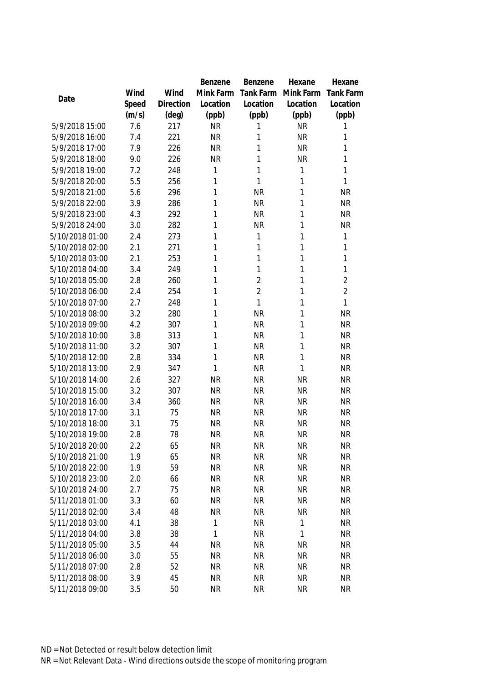|                 |       |           | Benzene   | Benzene        | Hexane       | Hexane           |
|-----------------|-------|-----------|-----------|----------------|--------------|------------------|
|                 | Wind  | Wind      | Mink Farm | Tank Farm      | Mink Farm    | <b>Tank Farm</b> |
| Date            | Speed | Direction | Location  | Location       | Location     | Location         |
|                 | (m/s) | (deg)     | (ppb)     | (ppb)          | (ppb)        | (ppb)            |
| 5/9/2018 15:00  | 7.6   | 217       | <b>NR</b> | 1              | <b>NR</b>    | 1                |
| 5/9/2018 16:00  | 7.4   | 221       | <b>NR</b> | 1              | <b>NR</b>    | 1                |
| 5/9/2018 17:00  | 7.9   | 226       | <b>NR</b> | 1              | <b>NR</b>    | 1                |
| 5/9/2018 18:00  | 9.0   | 226       | <b>NR</b> | 1              | <b>NR</b>    | 1                |
| 5/9/2018 19:00  | 7.2   | 248       | 1         | 1              | 1            | 1                |
| 5/9/2018 20:00  | 5.5   | 256       | 1         | $\mathbf{1}$   | 1            | 1                |
| 5/9/2018 21:00  | 5.6   | 296       | 1         | <b>NR</b>      | 1            | <b>NR</b>        |
| 5/9/2018 22:00  | 3.9   | 286       | 1         | <b>NR</b>      | 1            | <b>NR</b>        |
| 5/9/2018 23:00  | 4.3   | 292       | 1         | <b>NR</b>      | 1            | <b>NR</b>        |
| 5/9/2018 24:00  | 3.0   | 282       | 1         | <b>NR</b>      | 1            | <b>NR</b>        |
| 5/10/2018 01:00 | 2.4   | 273       | 1         | 1              | 1            | 1                |
| 5/10/2018 02:00 | 2.1   | 271       | 1         | 1              | 1            | 1                |
| 5/10/2018 03:00 | 2.1   | 253       | 1         | $\mathbf{1}$   | 1            | 1                |
| 5/10/2018 04:00 | 3.4   | 249       | 1         | $\mathbf{1}$   | 1            | 1                |
| 5/10/2018 05:00 | 2.8   | 260       | 1         | $\overline{2}$ | 1            | $\overline{2}$   |
| 5/10/2018 06:00 | 2.4   | 254       | 1         | $\overline{2}$ | 1            | $\overline{2}$   |
| 5/10/2018 07:00 | 2.7   | 248       | 1         | $\mathbf{1}$   | 1            | 1                |
| 5/10/2018 08:00 | 3.2   | 280       | 1         | <b>NR</b>      | 1            | <b>NR</b>        |
| 5/10/2018 09:00 | 4.2   | 307       | 1         | <b>NR</b>      | 1            | <b>NR</b>        |
| 5/10/2018 10:00 | 3.8   | 313       | 1         | <b>NR</b>      | 1            | <b>NR</b>        |
| 5/10/2018 11:00 | 3.2   | 307       | 1         | <b>NR</b>      | 1            | <b>NR</b>        |
| 5/10/2018 12:00 | 2.8   | 334       | 1         | <b>NR</b>      | 1            | <b>NR</b>        |
| 5/10/2018 13:00 | 2.9   | 347       | 1         | <b>NR</b>      | 1            | <b>NR</b>        |
| 5/10/2018 14:00 | 2.6   | 327       | <b>NR</b> | <b>NR</b>      | <b>NR</b>    | <b>NR</b>        |
| 5/10/2018 15:00 | 3.2   | 307       | <b>NR</b> | <b>NR</b>      | <b>NR</b>    | <b>NR</b>        |
| 5/10/2018 16:00 | 3.4   | 360       | <b>NR</b> | <b>NR</b>      | <b>NR</b>    | <b>NR</b>        |
| 5/10/2018 17:00 | 3.1   | 75        | <b>NR</b> | <b>NR</b>      | <b>NR</b>    | <b>NR</b>        |
| 5/10/2018 18:00 | 3.1   | 75        | <b>NR</b> | <b>NR</b>      | <b>NR</b>    | <b>NR</b>        |
| 5/10/2018 19:00 | 2.8   | 78        | <b>NR</b> | <b>NR</b>      | <b>NR</b>    | <b>NR</b>        |
| 5/10/2018 20:00 | 2.2   | 65        | <b>NR</b> | <b>NR</b>      | <b>NR</b>    | <b>NR</b>        |
| 5/10/2018 21:00 | 1.9   | 65        | <b>NR</b> | <b>NR</b>      | <b>NR</b>    | <b>NR</b>        |
| 5/10/2018 22:00 | 1.9   | 59        | <b>NR</b> | <b>NR</b>      | <b>NR</b>    | <b>NR</b>        |
| 5/10/2018 23:00 | 2.0   | 66        | <b>NR</b> | <b>NR</b>      | <b>NR</b>    | <b>NR</b>        |
| 5/10/2018 24:00 | 2.7   | 75        | NR        | <b>NR</b>      | <b>NR</b>    | <b>NR</b>        |
| 5/11/2018 01:00 | 3.3   | 60        | <b>NR</b> | <b>NR</b>      | <b>NR</b>    | <b>NR</b>        |
| 5/11/2018 02:00 | 3.4   | 48        | <b>NR</b> | <b>NR</b>      | <b>NR</b>    | <b>NR</b>        |
| 5/11/2018 03:00 | 4.1   | 38        | 1         | <b>NR</b>      | $\mathbf{1}$ | <b>NR</b>        |
| 5/11/2018 04:00 | 3.8   | 38        | 1         | <b>NR</b>      | 1            | <b>NR</b>        |
| 5/11/2018 05:00 | 3.5   | 44        | <b>NR</b> | <b>NR</b>      | NR           | <b>NR</b>        |
| 5/11/2018 06:00 | 3.0   | 55        | <b>NR</b> | <b>NR</b>      | <b>NR</b>    | <b>NR</b>        |
| 5/11/2018 07:00 | 2.8   | 52        | <b>NR</b> | <b>NR</b>      | <b>NR</b>    | <b>NR</b>        |
| 5/11/2018 08:00 | 3.9   | 45        | <b>NR</b> | <b>NR</b>      | <b>NR</b>    | <b>NR</b>        |
| 5/11/2018 09:00 | 3.5   | 50        | <b>NR</b> | <b>NR</b>      | <b>NR</b>    | <b>NR</b>        |